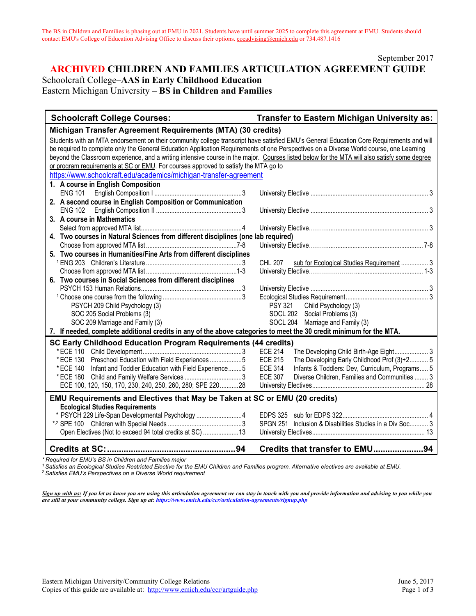September 2017

# **ARCHIVED CHILDREN AND FAMILIES ARTICULATION AGREEMENT GUIDE** Schoolcraft College–**AAS in Early Childhood Education** Eastern Michigan University – **BS in Children and Families**

| <b>Schoolcraft College Courses:</b>                                                                                                          | <b>Transfer to Eastern Michigan University as:</b>                |
|----------------------------------------------------------------------------------------------------------------------------------------------|-------------------------------------------------------------------|
| Michigan Transfer Agreement Requirements (MTA) (30 credits)                                                                                  |                                                                   |
| Students with an MTA endorsement on their community college transcript have satisfied EMU's General Education Core Requirements and will     |                                                                   |
| be required to complete only the General Education Application Requirements of one Perspectives on a Diverse World course, one Learning      |                                                                   |
| beyond the Classroom experience, and a writing intensive course in the major. Courses listed below for the MTA will also satisfy some degree |                                                                   |
| or program requirements at SC or EMU. For courses approved to satisfy the MTA go to                                                          |                                                                   |
| https://www.schoolcraft.edu/academics/michigan-transfer-agreement                                                                            |                                                                   |
| 1. A course in English Composition                                                                                                           |                                                                   |
| <b>ENG 101</b>                                                                                                                               |                                                                   |
| 2. A second course in English Composition or Communication                                                                                   |                                                                   |
| <b>ENG 102</b>                                                                                                                               |                                                                   |
| 3. A course in Mathematics                                                                                                                   |                                                                   |
|                                                                                                                                              |                                                                   |
| 4. Two courses in Natural Sciences from different disciplines (one lab required)                                                             |                                                                   |
|                                                                                                                                              |                                                                   |
| 5. Two courses in Humanities/Fine Arts from different disciplines                                                                            |                                                                   |
|                                                                                                                                              | <b>CHL 207</b><br>sub for Ecological Studies Requirement  3       |
|                                                                                                                                              |                                                                   |
| 6. Two courses in Social Sciences from different disciplines                                                                                 |                                                                   |
|                                                                                                                                              |                                                                   |
|                                                                                                                                              |                                                                   |
| PSYCH 209 Child Psychology (3)                                                                                                               | <b>PSY 321</b><br>Child Psychology (3)                            |
| SOC 205 Social Problems (3)                                                                                                                  | SOCL 202 Social Problems (3)                                      |
| SOC 209 Marriage and Family (3)                                                                                                              | SOCL 204 Marriage and Family (3)                                  |
| 7. If needed, complete additional credits in any of the above categories to meet the 30 credit minimum for the MTA.                          |                                                                   |
| <b>SC Early Childhood Education Program Requirements (44 credits)</b>                                                                        |                                                                   |
|                                                                                                                                              | <b>ECE 214</b><br>The Developing Child Birth-Age Eight 3          |
| * ECE 130 Preschool Education with Field Experiences 5                                                                                       | <b>ECE 215</b><br>The Developing Early Childhood Prof (3)+2 5     |
| * ECE 140 Infant and Toddler Education with Field Experience 5                                                                               | <b>ECE 314</b><br>Infants & Toddlers: Dev, Curriculum, Programs 5 |
| * ECE 180 Child and Family Welfare Services 3                                                                                                | Diverse Children, Families and Communities  3<br><b>ECE 307</b>   |
| ECE 100, 120, 150, 170, 230, 240, 250, 260, 280; SPE 22028                                                                                   |                                                                   |
| <b>EMU Requirements and Electives that May be Taken at SC or EMU (20 credits)</b>                                                            |                                                                   |
| <b>Ecological Studies Requirements</b>                                                                                                       |                                                                   |
| * PSYCH 229 Life-Span Developmental Psychology 4                                                                                             |                                                                   |
|                                                                                                                                              | SPGN 251 Inclusion & Disabilities Studies in a Div Soc 3          |
| Open Electives (Not to exceed 94 total credits at SC)  13                                                                                    |                                                                   |
|                                                                                                                                              | Credits that transfer to EMU94                                    |

*\* Required for EMU's BS in Children and Families major*

*1 Satisfies an Ecological Studies Restricted Elective for the EMU Children and Families program. Alternative electives are available at EMU.*

<sup>2</sup> *Satisfies EMU's Perspectives on a Diverse World requirement*

*Sign up with us: If you let us know you are using this articulation agreement we can stay in touch with you and provide information and advising to you while you are still at your community college. Sign up at: https://www.emich.edu/ccr/articulation-agreements/signup.php*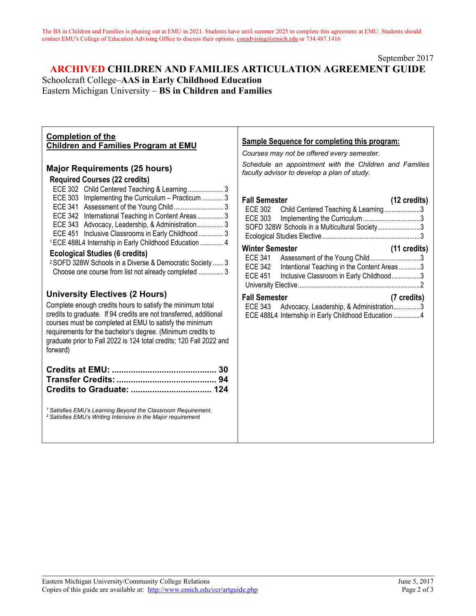#### September 2017

# **ARCHIVED CHILDREN AND FAMILIES ARTICULATION AGREEMENT GUIDE** Schoolcraft College–**AAS in Early Childhood Education** Eastern Michigan University – **BS in Children and Families**

| <b>Completion of the</b><br><b>Children and Families Program at EMU</b>                                                                                                                                                                                                                                                                                                                | <b>Sample Sequence for completing this program:</b><br>Courses may not be offered every semester.                                                                                                                       |
|----------------------------------------------------------------------------------------------------------------------------------------------------------------------------------------------------------------------------------------------------------------------------------------------------------------------------------------------------------------------------------------|-------------------------------------------------------------------------------------------------------------------------------------------------------------------------------------------------------------------------|
| <b>Major Requirements (25 hours)</b><br><b>Required Courses (22 credits)</b>                                                                                                                                                                                                                                                                                                           | Schedule an appointment with the Children and Families<br>faculty advisor to develop a plan of study.                                                                                                                   |
| ECE 302 Child Centered Teaching & Learning 3<br>ECE 303 Implementing the Curriculum - Practicum  3<br>ECE 342 International Teaching in Content Areas 3<br>ECE 343 Advocacy, Leadership, & Administration 3<br>ECE 451 Inclusive Classrooms in Early Childhood  3<br><sup>1</sup> ECE 488L4 Internship in Early Childhood Education  4                                                 | <b>Fall Semester</b><br>(12 credits)<br>ECE 302<br>Child Centered Teaching & Learning3<br><b>ECE 303</b><br>SOFD 328W Schools in a Multicultural Society3                                                               |
| <b>Ecological Studies (6 credits)</b><br><sup>2</sup> SOFD 328W Schools in a Diverse & Democratic Society  3<br>Choose one course from list not already completed  3                                                                                                                                                                                                                   | <b>Winter Semester</b><br>(11 credits)<br>Assessment of the Young Child3<br><b>ECE 341</b><br><b>ECE 342</b><br>Intentional Teaching in the Content Areas3<br><b>ECE 451</b><br>Inclusive Classroom in Early Childhood3 |
| <b>University Electives (2 Hours)</b><br>Complete enough credits hours to satisfy the minimum total<br>credits to graduate. If 94 credits are not transferred, additional<br>courses must be completed at EMU to satisfy the minimum<br>requirements for the bachelor's degree. (Minimum credits to<br>graduate prior to Fall 2022 is 124 total credits; 120 Fall 2022 and<br>forward) | <b>Fall Semester</b><br>(7 credits)<br>ECE 343 Advocacy, Leadership, & Administration3<br>ECE 488L4 Internship in Early Childhood Education 4                                                                           |
|                                                                                                                                                                                                                                                                                                                                                                                        |                                                                                                                                                                                                                         |
| <sup>1</sup> Satisfies EMU's Learning Beyond the Classroom Requirement.<br><sup>2</sup> Satisfies EMU's Writing Intensive in the Major requirement                                                                                                                                                                                                                                     |                                                                                                                                                                                                                         |
|                                                                                                                                                                                                                                                                                                                                                                                        |                                                                                                                                                                                                                         |